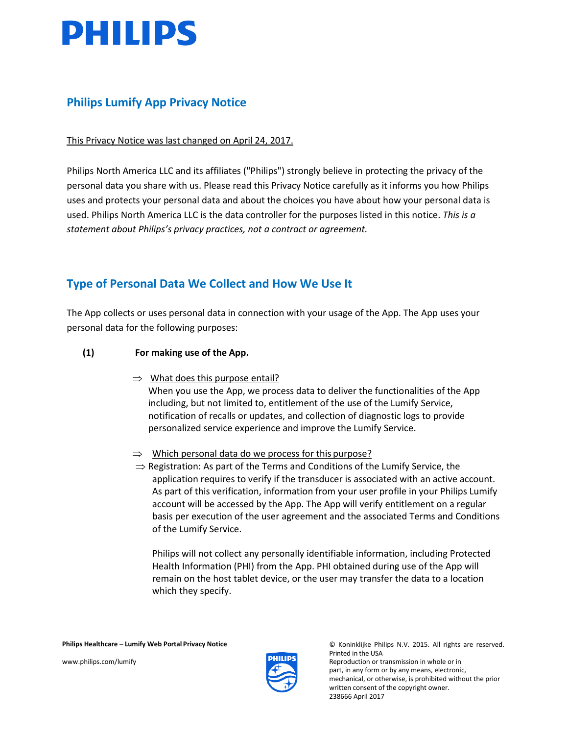

## **Philips Lumify App Privacy Notice**

This Privacy Notice was last changed on April 24, 2017.

Philips North America LLC and its affiliates ("Philips") strongly believe in protecting the privacy of the personal data you share with us. Please read this Privacy Notice carefully as it informs you how Philips uses and protects your personal data and about the choices you have about how your personal data is used. Philips North America LLC is the data controller for the purposes listed in this notice. *This is a statement about Philips's privacy practices, not a contract or agreement.*

## **Type of Personal Data We Collect and How We Use It**

The App collects or uses personal data in connection with your usage of the App. The App uses your personal data for the following purposes:

### **(1) For making use of the App.**

 $\Rightarrow$  What does this purpose entail?

When you use the App, we process data to deliver the functionalities of the App including, but not limited to, entitlement of the use of the Lumify Service, notification of recalls or updates, and collection of diagnostic logs to provide personalized service experience and improve the Lumify Service.

- $\Rightarrow$  Which personal data do we process for this purpose?
- $\Rightarrow$  Registration: As part of the Terms and Conditions of the Lumify Service, the application requires to verify if the transducer is associated with an active account. As part of this verification, information from your user profile in your Philips Lumify account will be accessed by the App. The App will verify entitlement on a regular basis per execution of the user agreement and the associated Terms and Conditions of the Lumify Service.

Philips will not collect any personally identifiable information, including Protected Health Information (PHI) from the App. PHI obtained during use of the App will remain on the host tablet device, or the user may transfer the data to a location which they specify.



Printed in the USA [www.philips.com/lumify](http://www.philips.com/lumify) example and the state of the Reproduction or transmission in whole or in

part, in any form or by any means, electronic, mechanical, or otherwise, is prohibited without the prior written consent of the copyright owner. 238666 April 2017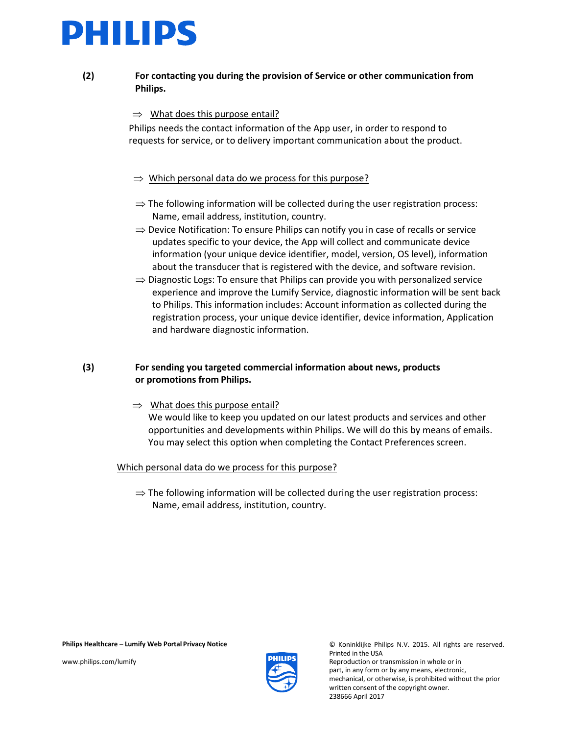## PHILIPS

### **(2) For contacting you during the provision of Service or other communication from Philips.**

### $\Rightarrow$  What does this purpose entail?

Philips needs the contact information of the App user, in order to respond to requests for service, or to delivery important communication about the product.

### ⇒ Which personal data do we process for this purpose?

- $\Rightarrow$  The following information will be collected during the user registration process: Name, email address, institution, country.
- ⇒ Device Notification: To ensure Philips can notify you in case of recalls or service updates specific to your device, the App will collect and communicate device information (your unique device identifier, model, version, OS level), information about the transducer that is registered with the device, and software revision.
- ⇒ Diagnostic Logs: To ensure that Philips can provide you with personalized service experience and improve the Lumify Service, diagnostic information will be sent back to Philips. This information includes: Account information as collected during the registration process, your unique device identifier, device information, Application and hardware diagnostic information.

### **(3) For sending you targeted commercial information about news, products or promotions from Philips.**

 $\Rightarrow$  What does this purpose entail? We would like to keep you updated on our latest products and services and other opportunities and developments within Philips. We will do this by means of emails. You may select this option when completing the Contact Preferences screen.

#### Which personal data do we process for this purpose?

 $\Rightarrow$  The following information will be collected during the user registration process: Name, email address, institution, country.

#### **Philips Healthcare – Lumify Web Portal Privacy Notice** © Koninklijke Philips N.V. 2015. All rights are reserved.



Printed in the USA [www.philips.com/lumify](http://www.philips.com/lumify) example and the community of the Reproduction or transmission in whole or in part, in any form or by any means, electronic, mechanical, or otherwise, is prohibited without the prior written consent of the copyright owner. 238666 April 2017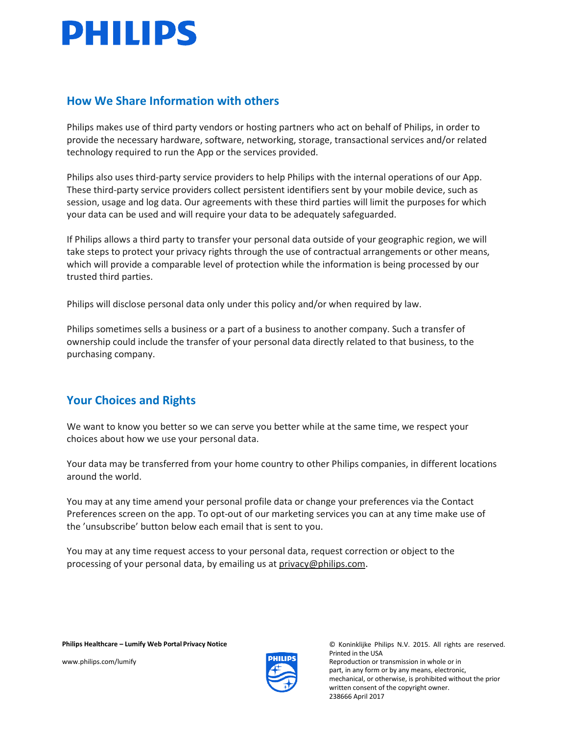## **PHILIPS**

## **How We Share Information with others**

Philips makes use of third party vendors or hosting partners who act on behalf of Philips, in order to provide the necessary hardware, software, networking, storage, transactional services and/or related technology required to run the App or the services provided.

Philips also uses third-party service providers to help Philips with the internal operations of our App. These third-party service providers collect persistent identifiers sent by your mobile device, such as session, usage and log data. Our agreements with these third parties will limit the purposes for which your data can be used and will require your data to be adequately safeguarded.

If Philips allows a third party to transfer your personal data outside of your geographic region, we will take steps to protect your privacy rights through the use of contractual arrangements or other means, which will provide a comparable level of protection while the information is being processed by our trusted third parties.

Philips will disclose personal data only under this policy and/or when required by law.

Philips sometimes sells a business or a part of a business to another company. Such a transfer of ownership could include the transfer of your personal data directly related to that business, to the purchasing company.

## **Your Choices and Rights**

We want to know you better so we can serve you better while at the same time, we respect your choices about how we use your personal data.

Your data may be transferred from your home country to other Philips companies, in different locations around the world.

You may at any time amend your personal profile data or change your preferences via the Contact Preferences screen on the app. To opt-out of our marketing services you can at any time make use of the 'unsubscribe' button below each email that is sent to you.

You may at any time request access to your personal data, request correction or object to the processing of your personal data, by emailing us at [privacy@philips.com.](mailto:privacy@philips.com)



**Philips Healthcare – Lumify Web Portal Privacy Notice** © Koninklijke Philips N.V. 2015. All rights are reserved. Printed in the USA [www.philips.com/lumify](http://www.philips.com/lumify) example and the community of the Reproduction or transmission in whole or in part, in any form or by any means, electronic, mechanical, or otherwise, is prohibited without the prior written consent of the copyright owner. 238666 April 2017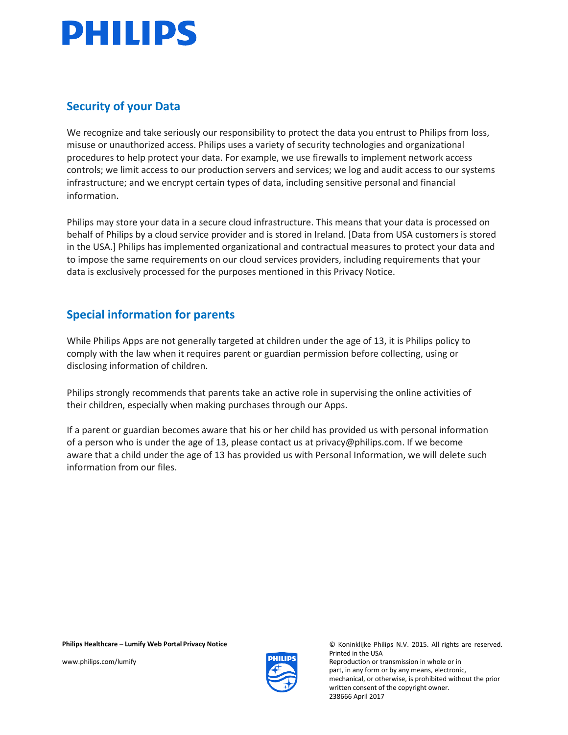# **PHILIPS**

## **Security of your Data**

We recognize and take seriously our responsibility to protect the data you entrust to Philips from loss, misuse or unauthorized access. Philips uses a variety of security technologies and organizational procedures to help protect your data. For example, we use firewalls to implement network access controls; we limit access to our production servers and services; we log and audit access to our systems infrastructure; and we encrypt certain types of data, including sensitive personal and financial information.

Philips may store your data in a secure cloud infrastructure. This means that your data is processed on behalf of Philips by a cloud service provider and is stored in Ireland. [Data from USA customers is stored in the USA.] Philips has implemented organizational and contractual measures to protect your data and to impose the same requirements on our cloud services providers, including requirements that your data is exclusively processed for the purposes mentioned in this Privacy Notice.

## **Special information for parents**

While Philips Apps are not generally targeted at children under the age of 13, it is Philips policy to comply with the law when it requires parent or guardian permission before collecting, using or disclosing information of children.

Philips strongly recommends that parents take an active role in supervising the online activities of their children, especially when making purchases through our Apps.

If a parent or guardian becomes aware that his or her child has provided us with personal information of a person who is under the age of 13, please contact us at [privacy@philips.com.](mailto:privacy@philips.com) If we become aware that a child under the age of 13 has provided us with Personal Information, we will delete such information from our files.



**Philips Healthcare – Lumify Web Portal Privacy Notice** © Koninklijke Philips N.V. 2015. All rights are reserved. Printed in the USA [www.philips.com/lumify](http://www.philips.com/lumify) example of the community reproduction or transmission in whole or in part, in any form or by any means, electronic, mechanical, or otherwise, is prohibited without the prior written consent of the copyright owner. 238666 April 2017